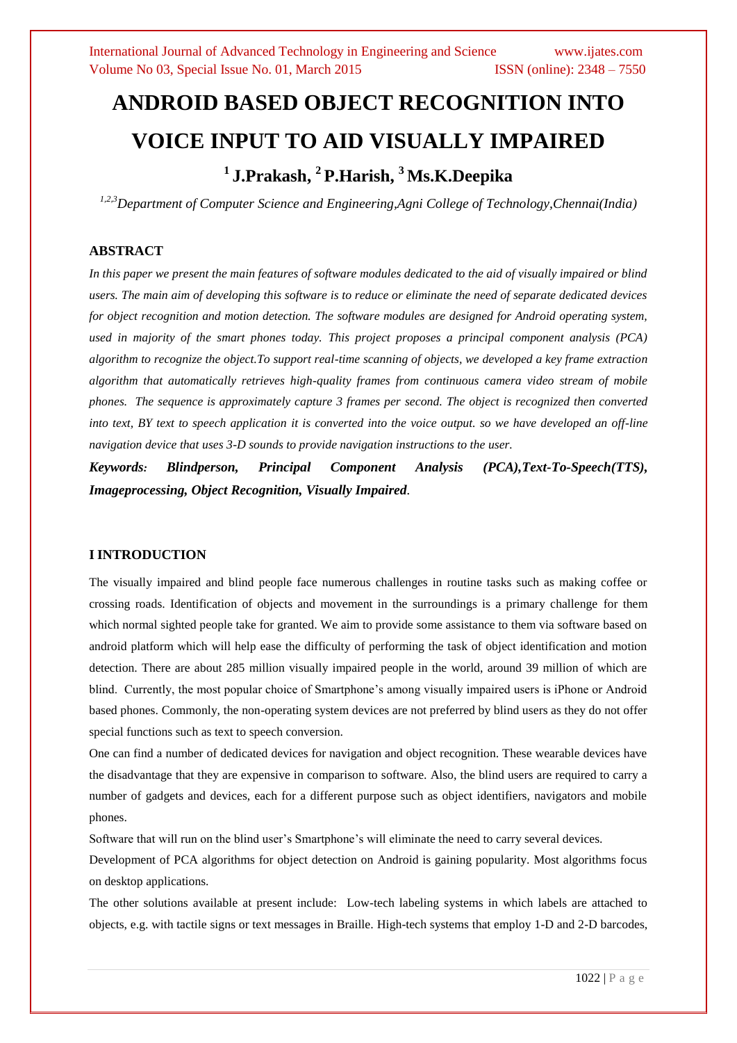# **ANDROID BASED OBJECT RECOGNITION INTO VOICE INPUT TO AID VISUALLY IMPAIRED <sup>1</sup>J.Prakash, 2 P.Harish, <sup>3</sup> Ms.K.Deepika**

*1,2,3Department of Computer Science and Engineering,Agni College of Technology,Chennai(India)*

# **ABSTRACT**

*In this paper we present the main features of software modules dedicated to the aid of visually impaired or blind users. The main aim of developing this software is to reduce or eliminate the need of separate dedicated devices for object recognition and motion detection. The software modules are designed for Android operating system, used in majority of the smart phones today. This project proposes a principal component analysis (PCA) algorithm to recognize the object.To support real-time scanning of objects, we developed a key frame extraction algorithm that automatically retrieves high-quality frames from continuous camera video stream of mobile phones. The sequence is approximately capture 3 frames per second. The object is recognized then converted into text, BY text to speech application it is converted into the voice output. so we have developed an off-line navigation device that uses 3-D sounds to provide navigation instructions to the user.* 

*Keywords: Blindperson, Principal Component Analysis (PCA),Text-To-Speech(TTS), Imageprocessing, Object Recognition, Visually Impaired.*

# **I INTRODUCTION**

The visually impaired and blind people face numerous challenges in routine tasks such as making coffee or crossing roads. Identification of objects and movement in the surroundings is a primary challenge for them which normal sighted people take for granted. We aim to provide some assistance to them via software based on android platform which will help ease the difficulty of performing the task of object identification and motion detection. There are about 285 million visually impaired people in the world, around 39 million of which are blind. Currently, the most popular choice of Smartphone's among visually impaired users is iPhone or Android based phones. Commonly, the non-operating system devices are not preferred by blind users as they do not offer special functions such as text to speech conversion.

One can find a number of dedicated devices for navigation and object recognition. These wearable devices have the disadvantage that they are expensive in comparison to software. Also, the blind users are required to carry a number of gadgets and devices, each for a different purpose such as object identifiers, navigators and mobile phones.

Software that will run on the blind user's Smartphone's will eliminate the need to carry several devices.

Development of PCA algorithms for object detection on Android is gaining popularity. Most algorithms focus on desktop applications.

The other solutions available at present include: Low-tech labeling systems in which labels are attached to objects, e.g. with tactile signs or text messages in Braille. High-tech systems that employ 1-D and 2-D barcodes,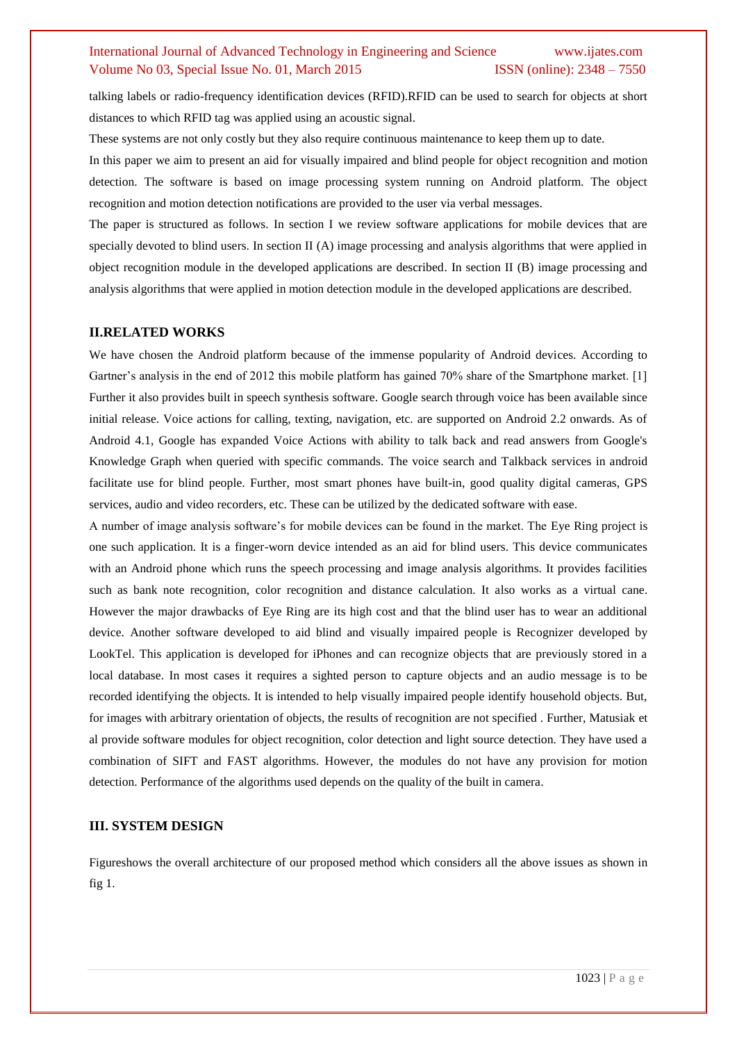talking labels or radio-frequency identification devices (RFID).RFID can be used to search for objects at short distances to which RFID tag was applied using an acoustic signal.

These systems are not only costly but they also require continuous maintenance to keep them up to date.

In this paper we aim to present an aid for visually impaired and blind people for object recognition and motion detection. The software is based on image processing system running on Android platform. The object recognition and motion detection notifications are provided to the user via verbal messages.

The paper is structured as follows. In section I we review software applications for mobile devices that are specially devoted to blind users. In section II (A) image processing and analysis algorithms that were applied in object recognition module in the developed applications are described. In section II (B) image processing and analysis algorithms that were applied in motion detection module in the developed applications are described.

#### **II.RELATED WORKS**

We have chosen the Android platform because of the immense popularity of Android devices. According to Gartner's analysis in the end of 2012 this mobile platform has gained 70% share of the Smartphone market. [1] Further it also provides built in speech synthesis software. Google search through voice has been available since initial release. Voice actions for calling, texting, navigation, etc. are supported on Android 2.2 onwards. As of Android 4.1, Google has expanded Voice Actions with ability to talk back and read answers from Google's Knowledge Graph when queried with specific commands. The voice search and Talkback services in android facilitate use for blind people. Further, most smart phones have built-in, good quality digital cameras, GPS services, audio and video recorders, etc. These can be utilized by the dedicated software with ease.

A number of image analysis software's for mobile devices can be found in the market. The Eye Ring project is one such application. It is a finger-worn device intended as an aid for blind users. This device communicates with an Android phone which runs the speech processing and image analysis algorithms. It provides facilities such as bank note recognition, color recognition and distance calculation. It also works as a virtual cane. However the major drawbacks of Eye Ring are its high cost and that the blind user has to wear an additional device. Another software developed to aid blind and visually impaired people is Recognizer developed by LookTel. This application is developed for iPhones and can recognize objects that are previously stored in a local database. In most cases it requires a sighted person to capture objects and an audio message is to be recorded identifying the objects. It is intended to help visually impaired people identify household objects. But, for images with arbitrary orientation of objects, the results of recognition are not specified . Further, Matusiak et al provide software modules for object recognition, color detection and light source detection. They have used a combination of SIFT and FAST algorithms. However, the modules do not have any provision for motion detection. Performance of the algorithms used depends on the quality of the built in camera.

# **III. SYSTEM DESIGN**

Figureshows the overall architecture of our proposed method which considers all the above issues as shown in fig 1.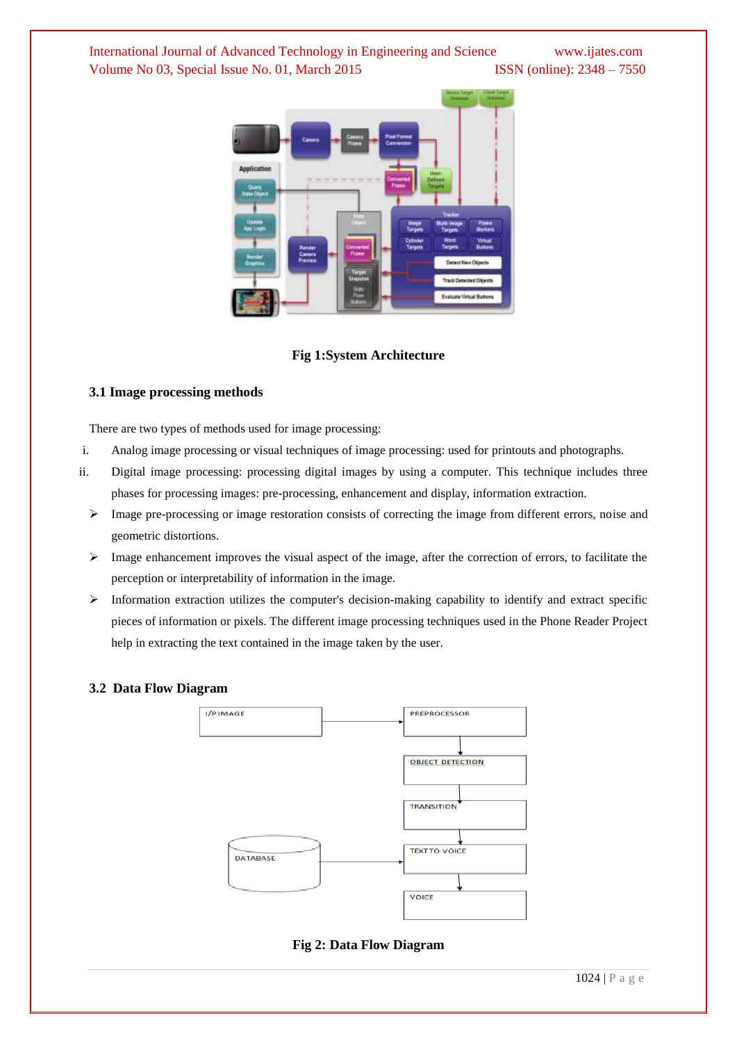

## **Fig 1:System Architecture**

## **3.1 Image processing methods**

There are two types of methods used for image processing:

- i. Analog image processing or visual techniques of image processing: used for printouts and photographs.
- ii. Digital image processing: processing digital images by using a computer. This technique includes three phases for processing images: pre-processing, enhancement and display, information extraction.
	- $\triangleright$  Image pre-processing or image restoration consists of correcting the image from different errors, noise and geometric distortions.
	- $\triangleright$  Image enhancement improves the visual aspect of the image, after the correction of errors, to facilitate the perception or interpretability of information in the image.
	- $\triangleright$  Information extraction utilizes the computer's decision-making capability to identify and extract specific pieces of information or pixels. The different image processing techniques used in the Phone Reader Project help in extracting the text contained in the image taken by the user.

## **3.2 Data Flow Diagram**



# **Fig 2: Data Flow Diagram**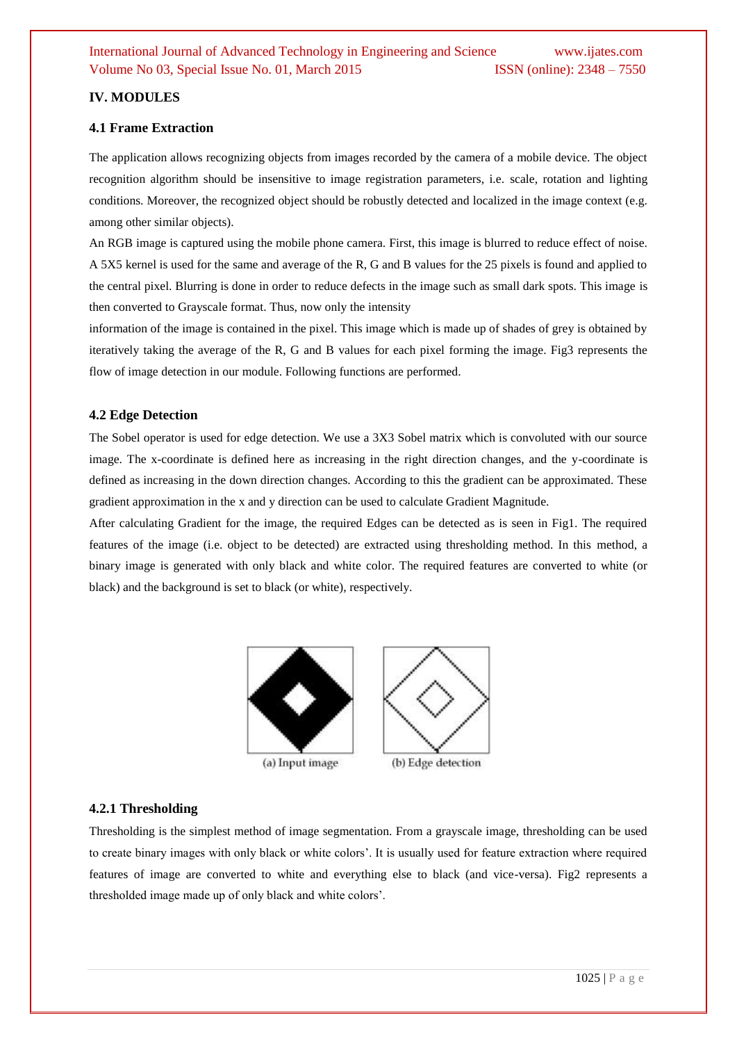# **IV. MODULES**

## **4.1 Frame Extraction**

The application allows recognizing objects from images recorded by the camera of a mobile device. The object recognition algorithm should be insensitive to image registration parameters, i.e. scale, rotation and lighting conditions. Moreover, the recognized object should be robustly detected and localized in the image context (e.g. among other similar objects).

An RGB image is captured using the mobile phone camera. First, this image is blurred to reduce effect of noise. A 5X5 kernel is used for the same and average of the R, G and B values for the 25 pixels is found and applied to the central pixel. Blurring is done in order to reduce defects in the image such as small dark spots. This image is then converted to Grayscale format. Thus, now only the intensity

information of the image is contained in the pixel. This image which is made up of shades of grey is obtained by iteratively taking the average of the R, G and B values for each pixel forming the image. Fig3 represents the flow of image detection in our module. Following functions are performed.

## **4.2 Edge Detection**

The Sobel operator is used for edge detection. We use a 3X3 Sobel matrix which is convoluted with our source image. The x-coordinate is defined here as increasing in the right direction changes, and the y-coordinate is defined as increasing in the down direction changes. According to this the gradient can be approximated. These gradient approximation in the x and y direction can be used to calculate Gradient Magnitude.

After calculating Gradient for the image, the required Edges can be detected as is seen in Fig1. The required features of the image (i.e. object to be detected) are extracted using thresholding method. In this method, a binary image is generated with only black and white color. The required features are converted to white (or black) and the background is set to black (or white), respectively.



# **4.2.1 Thresholding**

Thresholding is the simplest method of image segmentation. From a grayscale image, thresholding can be used to create binary images with only black or white colors'. It is usually used for feature extraction where required features of image are converted to white and everything else to black (and vice-versa). Fig2 represents a thresholded image made up of only black and white colors'.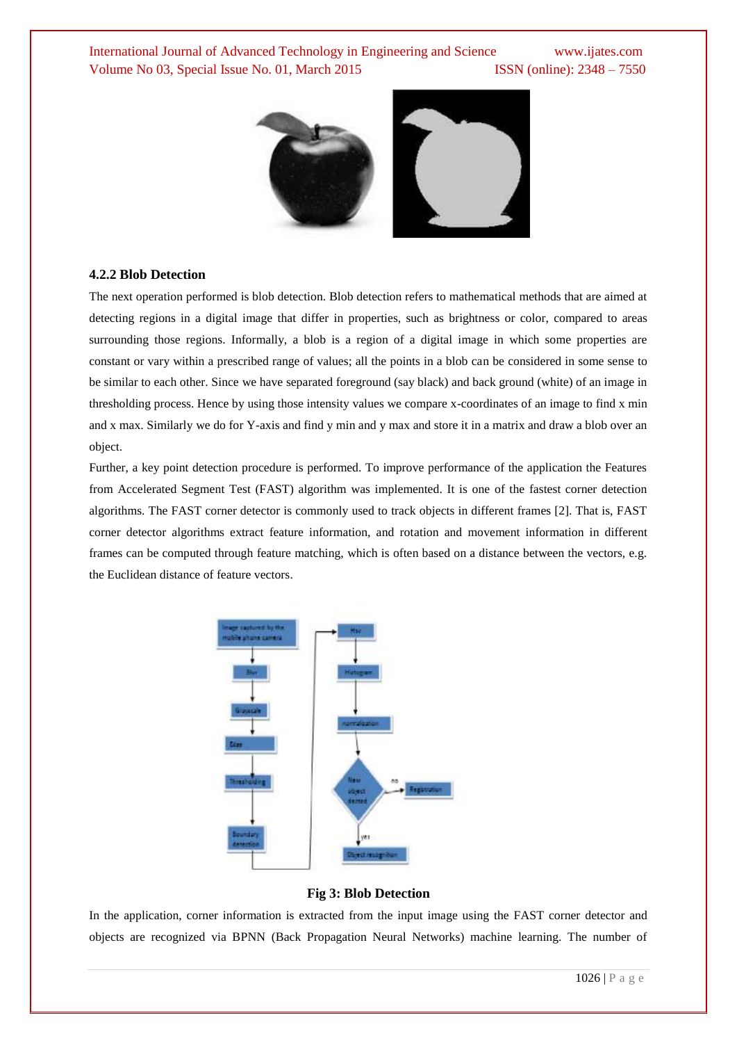

#### **4.2.2 Blob Detection**

The next operation performed is blob detection. Blob detection refers to mathematical methods that are aimed at detecting regions in a digital image that differ in properties, such as brightness or color, compared to areas surrounding those regions. Informally, a blob is a region of a digital image in which some properties are constant or vary within a prescribed range of values; all the points in a blob can be considered in some sense to be similar to each other. Since we have separated foreground (say black) and back ground (white) of an image in thresholding process. Hence by using those intensity values we compare x-coordinates of an image to find x min and x max. Similarly we do for Y-axis and find y min and y max and store it in a matrix and draw a blob over an object.

Further, a key point detection procedure is performed. To improve performance of the application the Features from Accelerated Segment Test (FAST) algorithm was implemented. It is one of the fastest corner detection algorithms. The FAST corner detector is commonly used to track objects in different frames [2]. That is, FAST corner detector algorithms extract feature information, and rotation and movement information in different frames can be computed through feature matching, which is often based on a distance between the vectors, e.g. the Euclidean distance of feature vectors.



**Fig 3: Blob Detection**

In the application, corner information is extracted from the input image using the FAST corner detector and objects are recognized via BPNN (Back Propagation Neural Networks) machine learning. The number of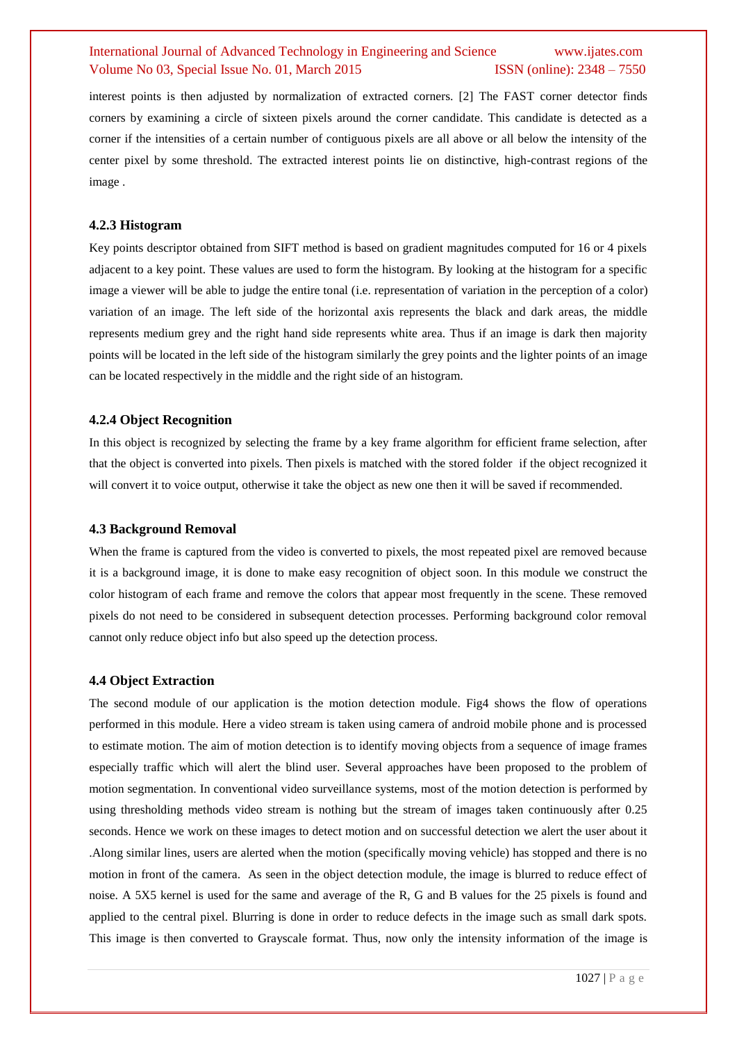interest points is then adjusted by normalization of extracted corners. [2] The FAST corner detector finds corners by examining a circle of sixteen pixels around the corner candidate. This candidate is detected as a corner if the intensities of a certain number of contiguous pixels are all above or all below the intensity of the center pixel by some threshold. The extracted interest points lie on distinctive, high-contrast regions of the image .

## **4.2.3 Histogram**

Key points descriptor obtained from SIFT method is based on gradient magnitudes computed for 16 or 4 pixels adjacent to a key point. These values are used to form the histogram. By looking at the histogram for a specific image a viewer will be able to judge the entire tonal (i.e. representation of variation in the perception of a color) variation of an image. The left side of the horizontal axis represents the black and dark areas, the middle represents medium grey and the right hand side represents white area. Thus if an image is dark then majority points will be located in the left side of the histogram similarly the grey points and the lighter points of an image can be located respectively in the middle and the right side of an histogram.

## **4.2.4 Object Recognition**

In this object is recognized by selecting the frame by a key frame algorithm for efficient frame selection, after that the object is converted into pixels. Then pixels is matched with the stored folder if the object recognized it will convert it to voice output, otherwise it take the object as new one then it will be saved if recommended.

## **4.3 Background Removal**

When the frame is captured from the video is converted to pixels, the most repeated pixel are removed because it is a background image, it is done to make easy recognition of object soon. In this module we construct the color histogram of each frame and remove the colors that appear most frequently in the scene. These removed pixels do not need to be considered in subsequent detection processes. Performing background color removal cannot only reduce object info but also speed up the detection process.

#### **4.4 Object Extraction**

The second module of our application is the motion detection module. Fig4 shows the flow of operations performed in this module. Here a video stream is taken using camera of android mobile phone and is processed to estimate motion. The aim of motion detection is to identify moving objects from a sequence of image frames especially traffic which will alert the blind user. Several approaches have been proposed to the problem of motion segmentation. In conventional video surveillance systems, most of the motion detection is performed by using thresholding methods video stream is nothing but the stream of images taken continuously after 0.25 seconds. Hence we work on these images to detect motion and on successful detection we alert the user about it .Along similar lines, users are alerted when the motion (specifically moving vehicle) has stopped and there is no motion in front of the camera. As seen in the object detection module, the image is blurred to reduce effect of noise. A 5X5 kernel is used for the same and average of the R, G and B values for the 25 pixels is found and applied to the central pixel. Blurring is done in order to reduce defects in the image such as small dark spots. This image is then converted to Grayscale format. Thus, now only the intensity information of the image is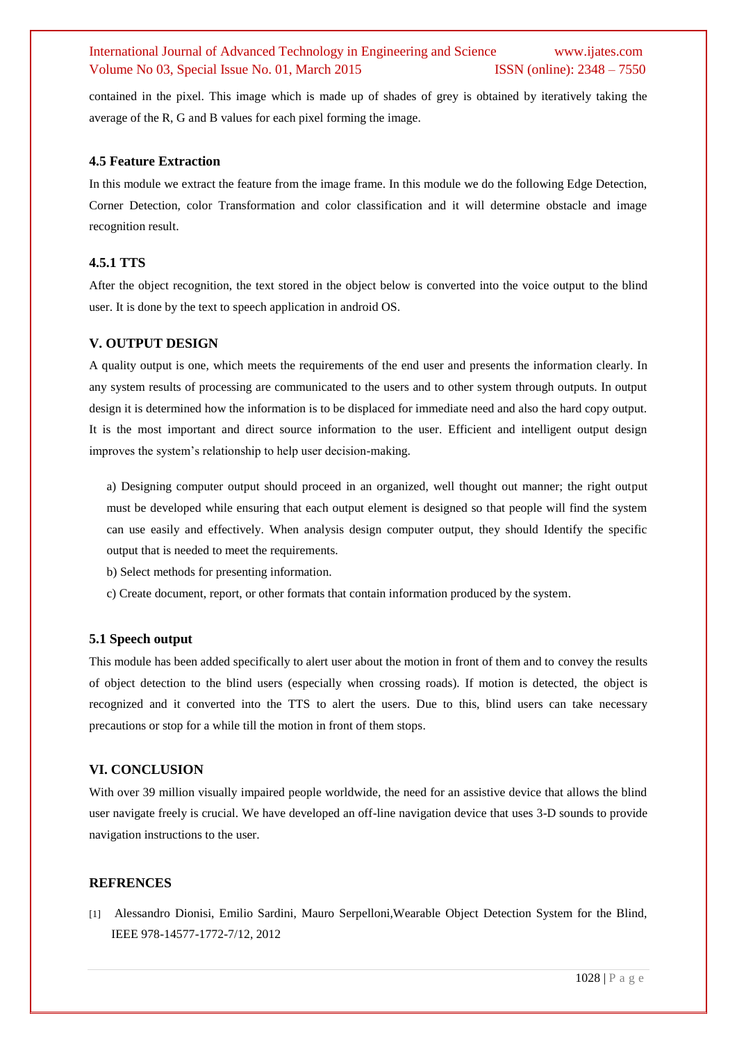contained in the pixel. This image which is made up of shades of grey is obtained by iteratively taking the average of the R, G and B values for each pixel forming the image.

#### **4.5 Feature Extraction**

In this module we extract the feature from the image frame. In this module we do the following Edge Detection, Corner Detection, color Transformation and color classification and it will determine obstacle and image recognition result.

## **4.5.1 TTS**

After the object recognition, the text stored in the object below is converted into the voice output to the blind user. It is done by the text to speech application in android OS.

## **V. OUTPUT DESIGN**

A quality output is one, which meets the requirements of the end user and presents the information clearly. In any system results of processing are communicated to the users and to other system through outputs. In output design it is determined how the information is to be displaced for immediate need and also the hard copy output. It is the most important and direct source information to the user. Efficient and intelligent output design improves the system's relationship to help user decision-making.

a) Designing computer output should proceed in an organized, well thought out manner; the right output must be developed while ensuring that each output element is designed so that people will find the system can use easily and effectively. When analysis design computer output, they should Identify the specific output that is needed to meet the requirements.

b) Select methods for presenting information.

c) Create document, report, or other formats that contain information produced by the system.

#### **5.1 Speech output**

This module has been added specifically to alert user about the motion in front of them and to convey the results of object detection to the blind users (especially when crossing roads). If motion is detected, the object is recognized and it converted into the TTS to alert the users. Due to this, blind users can take necessary precautions or stop for a while till the motion in front of them stops.

## **VI. CONCLUSION**

With over 39 million visually impaired people worldwide, the need for an assistive device that allows the blind user navigate freely is crucial. We have developed an off-line navigation device that uses 3-D sounds to provide navigation instructions to the user.

#### **REFRENCES**

[1] Alessandro Dionisi, Emilio Sardini, Mauro Serpelloni,Wearable Object Detection System for the Blind, IEEE 978-14577-1772-7/12, 2012